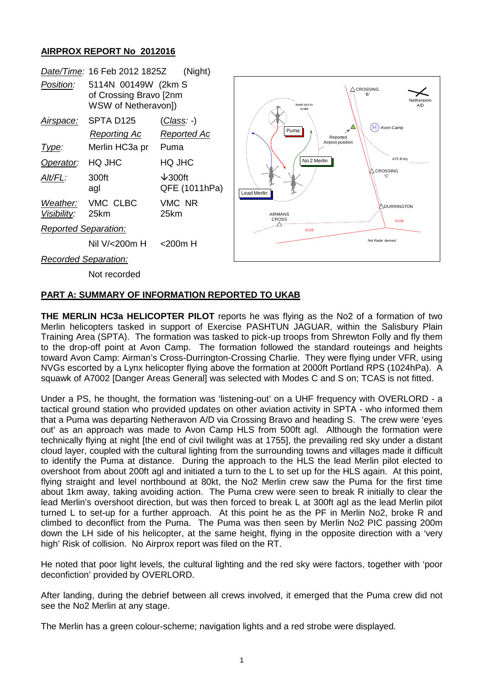# **AIRPROX REPORT No 2012016**

|                             | Date/Time: 16 Feb 2012 1825Z                                         | (Night)                             |                 |
|-----------------------------|----------------------------------------------------------------------|-------------------------------------|-----------------|
| <i>Position:</i>            | 5114N 00149W (2km S<br>of Crossing Bravo [2nm<br>WSW of Netheravon]) |                                     |                 |
| Airspace:                   | SPTA D <sub>125</sub>                                                | ( <i>Class: -</i> )                 |                 |
|                             | <u>Reporting Ac</u>                                                  | Reported Ac                         |                 |
| Type:                       | Merlin HC3a pr                                                       | Puma                                |                 |
| Operator:                   | <b>HQ JHC</b>                                                        | HQ JHC                              |                 |
| Alt/FL:                     | 300ft<br>agl                                                         | $\downarrow$ 300ft<br>QFE (1011hPa) | Lead Merlin     |
| Visibility:                 | Weather: VMC CLBC<br>25km                                            | VMC NR<br>25km                      | AIRMAN<br>CROSS |
| <b>Reported Separation:</b> |                                                                      |                                     |                 |
|                             | Nil V/<200m H <200m H                                                |                                     |                 |
| Recorded Separation:        |                                                                      |                                     |                 |

Not recorded



## **PART A: SUMMARY OF INFORMATION REPORTED TO UKAB**

**THE MERLIN HC3a HELICOPTER PILOT** reports he was flying as the No2 of a formation of two Merlin helicopters tasked in support of Exercise PASHTUN JAGUAR, within the Salisbury Plain Training Area (SPTA). The formation was tasked to pick-up troops from Shrewton Folly and fly them to the drop-off point at Avon Camp. The formation followed the standard routeings and heights toward Avon Camp: Airman's Cross-Durrington-Crossing Charlie. They were flying under VFR, using NVGs escorted by a Lynx helicopter flying above the formation at 2000ft Portland RPS (1024hPa). A squawk of A7002 [Danger Areas General] was selected with Modes C and S on; TCAS is not fitted.

Under a PS, he thought, the formation was 'listening-out' on a UHF frequency with OVERLORD - a tactical ground station who provided updates on other aviation activity in SPTA - who informed them that a Puma was departing Netheravon A/D via Crossing Bravo and heading S. The crew were 'eyes out' as an approach was made to Avon Camp HLS from 500ft agl. Although the formation were technically flying at night [the end of civil twilight was at 1755], the prevailing red sky under a distant cloud layer, coupled with the cultural lighting from the surrounding towns and villages made it difficult to identify the Puma at distance. During the approach to the HLS the lead Merlin pilot elected to overshoot from about 200ft agl and initiated a turn to the L to set up for the HLS again. At this point, flying straight and level northbound at 80kt, the No2 Merlin crew saw the Puma for the first time about 1km away, taking avoiding action. The Puma crew were seen to break R initially to clear the lead Merlin's overshoot direction, but was then forced to break L at 300ft agl as the lead Merlin pilot turned L to set-up for a further approach. At this point he as the PF in Merlin No2, broke R and climbed to deconflict from the Puma. The Puma was then seen by Merlin No2 PIC passing 200m down the LH side of his helicopter, at the same height, flying in the opposite direction with a 'very high' Risk of collision. No Airprox report was filed on the RT.

He noted that poor light levels, the cultural lighting and the red sky were factors, together with 'poor deconfiction' provided by OVERLORD.

After landing, during the debrief between all crews involved, it emerged that the Puma crew did not see the No2 Merlin at any stage.

The Merlin has a green colour-scheme; navigation lights and a red strobe were displayed.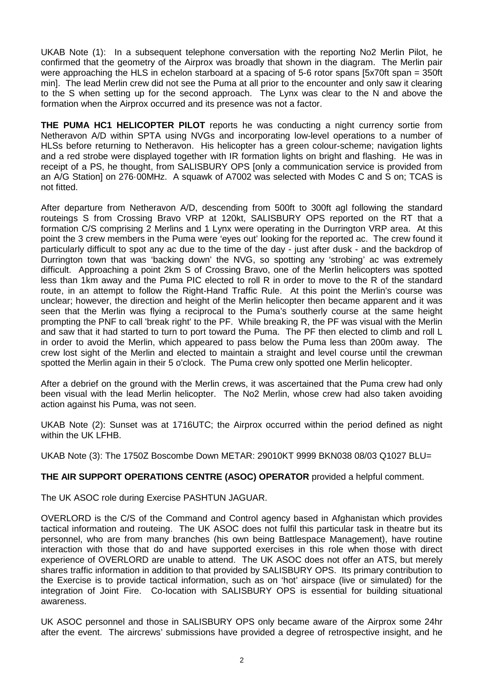UKAB Note (1): In a subsequent telephone conversation with the reporting No2 Merlin Pilot, he confirmed that the geometry of the Airprox was broadly that shown in the diagram. The Merlin pair were approaching the HLS in echelon starboard at a spacing of 5-6 rotor spans [5x70ft span = 350ft min]. The lead Merlin crew did not see the Puma at all prior to the encounter and only saw it clearing to the S when setting up for the second approach. The Lynx was clear to the N and above the formation when the Airprox occurred and its presence was not a factor.

**THE PUMA HC1 HELICOPTER PILOT** reports he was conducting a night currency sortie from Netheravon A/D within SPTA using NVGs and incorporating low-level operations to a number of HLSs before returning to Netheravon. His helicopter has a green colour-scheme; navigation lights and a red strobe were displayed together with IR formation lights on bright and flashing. He was in receipt of a PS, he thought, from SALISBURY OPS [only a communication service is provided from an A/G Station] on 276·00MHz. A squawk of A7002 was selected with Modes C and S on; TCAS is not fitted.

After departure from Netheravon A/D, descending from 500ft to 300ft agl following the standard routeings S from Crossing Bravo VRP at 120kt, SALISBURY OPS reported on the RT that a formation C/S comprising 2 Merlins and 1 Lynx were operating in the Durrington VRP area. At this point the 3 crew members in the Puma were 'eyes out' looking for the reported ac. The crew found it particularly difficult to spot any ac due to the time of the day - just after dusk - and the backdrop of Durrington town that was 'backing down' the NVG, so spotting any 'strobing' ac was extremely difficult. Approaching a point 2km S of Crossing Bravo, one of the Merlin helicopters was spotted less than 1km away and the Puma PIC elected to roll R in order to move to the R of the standard route, in an attempt to follow the Right-Hand Traffic Rule. At this point the Merlin's course was unclear; however, the direction and height of the Merlin helicopter then became apparent and it was seen that the Merlin was flying a reciprocal to the Puma's southerly course at the same height prompting the PNF to call 'break right' to the PF. While breaking R, the PF was visual with the Merlin and saw that it had started to turn to port toward the Puma. The PF then elected to climb and roll L in order to avoid the Merlin, which appeared to pass below the Puma less than 200m away. The crew lost sight of the Merlin and elected to maintain a straight and level course until the crewman spotted the Merlin again in their 5 o'clock. The Puma crew only spotted one Merlin helicopter.

After a debrief on the ground with the Merlin crews, it was ascertained that the Puma crew had only been visual with the lead Merlin helicopter. The No2 Merlin, whose crew had also taken avoiding action against his Puma, was not seen.

UKAB Note (2): Sunset was at 1716UTC; the Airprox occurred within the period defined as night within the UK LFHB.

UKAB Note (3): The 1750Z Boscombe Down METAR: 29010KT 9999 BKN038 08/03 Q1027 BLU=

## **THE AIR SUPPORT OPERATIONS CENTRE (ASOC) OPERATOR** provided a helpful comment.

The UK ASOC role during Exercise PASHTUN JAGUAR.

OVERLORD is the C/S of the Command and Control agency based in Afghanistan which provides tactical information and routeing. The UK ASOC does not fulfil this particular task in theatre but its personnel, who are from many branches (his own being Battlespace Management), have routine interaction with those that do and have supported exercises in this role when those with direct experience of OVERLORD are unable to attend. The UK ASOC does not offer an ATS, but merely shares traffic information in addition to that provided by SALISBURY OPS. Its primary contribution to the Exercise is to provide tactical information, such as on 'hot' airspace (live or simulated) for the integration of Joint Fire. Co-location with SALISBURY OPS is essential for building situational awareness.

UK ASOC personnel and those in SALISBURY OPS only became aware of the Airprox some 24hr after the event. The aircrews' submissions have provided a degree of retrospective insight, and he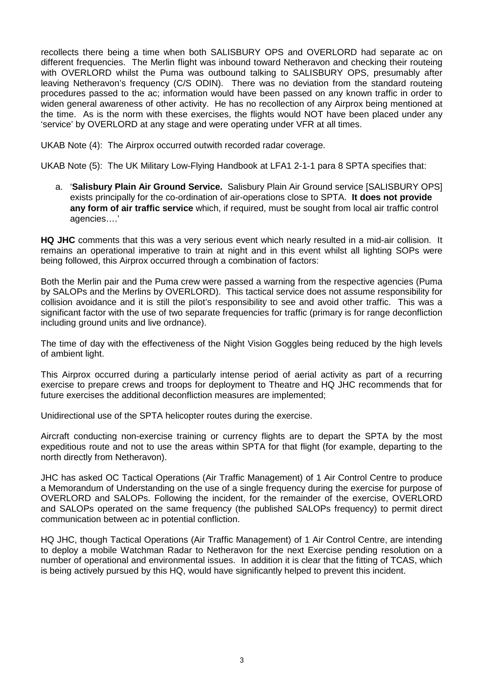recollects there being a time when both SALISBURY OPS and OVERLORD had separate ac on different frequencies. The Merlin flight was inbound toward Netheravon and checking their routeing with OVERLORD whilst the Puma was outbound talking to SALISBURY OPS, presumably after leaving Netheravon's frequency (C/S ODIN). There was no deviation from the standard routeing procedures passed to the ac; information would have been passed on any known traffic in order to widen general awareness of other activity. He has no recollection of any Airprox being mentioned at the time. As is the norm with these exercises, the flights would NOT have been placed under any 'service' by OVERLORD at any stage and were operating under VFR at all times.

UKAB Note (4): The Airprox occurred outwith recorded radar coverage.

UKAB Note (5): The UK Military Low-Flying Handbook at LFA1 2-1-1 para 8 SPTA specifies that:

a. '**Salisbury Plain Air Ground Service.** Salisbury Plain Air Ground service [SALISBURY OPS] exists principally for the co-ordination of air-operations close to SPTA. **It does not provide any form of air traffic service** which, if required, must be sought from local air traffic control agencies….'

**HQ JHC** comments that this was a very serious event which nearly resulted in a mid-air collision. It remains an operational imperative to train at night and in this event whilst all lighting SOPs were being followed, this Airprox occurred through a combination of factors:

Both the Merlin pair and the Puma crew were passed a warning from the respective agencies (Puma by SALOPs and the Merlins by OVERLORD). This tactical service does not assume responsibility for collision avoidance and it is still the pilot's responsibility to see and avoid other traffic. This was a significant factor with the use of two separate frequencies for traffic (primary is for range deconfliction including ground units and live ordnance).

The time of day with the effectiveness of the Night Vision Goggles being reduced by the high levels of ambient light.

This Airprox occurred during a particularly intense period of aerial activity as part of a recurring exercise to prepare crews and troops for deployment to Theatre and HQ JHC recommends that for future exercises the additional deconfliction measures are implemented;

Unidirectional use of the SPTA helicopter routes during the exercise.

Aircraft conducting non-exercise training or currency flights are to depart the SPTA by the most expeditious route and not to use the areas within SPTA for that flight (for example, departing to the north directly from Netheravon).

JHC has asked OC Tactical Operations (Air Traffic Management) of 1 Air Control Centre to produce a Memorandum of Understanding on the use of a single frequency during the exercise for purpose of OVERLORD and SALOPs. Following the incident, for the remainder of the exercise, OVERLORD and SALOPs operated on the same frequency (the published SALOPs frequency) to permit direct communication between ac in potential confliction.

HQ JHC, though Tactical Operations (Air Traffic Management) of 1 Air Control Centre, are intending to deploy a mobile Watchman Radar to Netheravon for the next Exercise pending resolution on a number of operational and environmental issues. In addition it is clear that the fitting of TCAS, which is being actively pursued by this HQ, would have significantly helped to prevent this incident.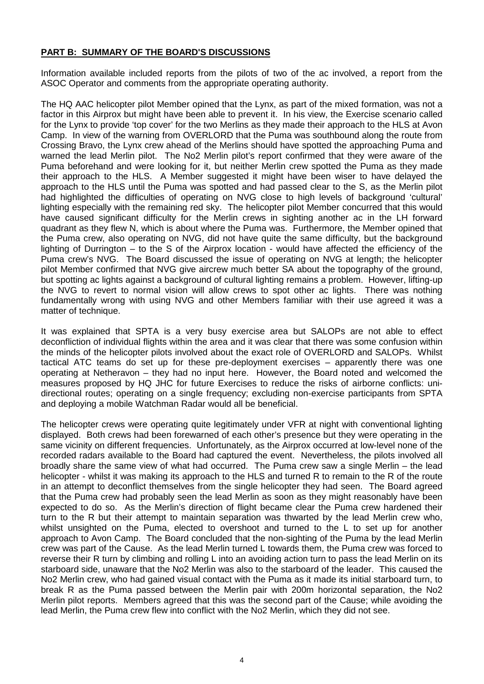# **PART B: SUMMARY OF THE BOARD'S DISCUSSIONS**

Information available included reports from the pilots of two of the ac involved, a report from the ASOC Operator and comments from the appropriate operating authority.

The HQ AAC helicopter pilot Member opined that the Lynx, as part of the mixed formation, was not a factor in this Airprox but might have been able to prevent it. In his view, the Exercise scenario called for the Lynx to provide 'top cover' for the two Merlins as they made their approach to the HLS at Avon Camp. In view of the warning from OVERLORD that the Puma was southbound along the route from Crossing Bravo, the Lynx crew ahead of the Merlins should have spotted the approaching Puma and warned the lead Merlin pilot. The No2 Merlin pilot's report confirmed that they were aware of the Puma beforehand and were looking for it, but neither Merlin crew spotted the Puma as they made their approach to the HLS. A Member suggested it might have been wiser to have delayed the approach to the HLS until the Puma was spotted and had passed clear to the S, as the Merlin pilot had highlighted the difficulties of operating on NVG close to high levels of background 'cultural' lighting especially with the remaining red sky. The helicopter pilot Member concurred that this would have caused significant difficulty for the Merlin crews in sighting another ac in the LH forward quadrant as they flew N, which is about where the Puma was. Furthermore, the Member opined that the Puma crew, also operating on NVG, did not have quite the same difficulty, but the background lighting of Durrington – to the S of the Airprox location - would have affected the efficiency of the Puma crew's NVG. The Board discussed the issue of operating on NVG at length; the helicopter pilot Member confirmed that NVG give aircrew much better SA about the topography of the ground, but spotting ac lights against a background of cultural lighting remains a problem. However, lifting-up the NVG to revert to normal vision will allow crews to spot other ac lights. There was nothing fundamentally wrong with using NVG and other Members familiar with their use agreed it was a matter of technique.

It was explained that SPTA is a very busy exercise area but SALOPs are not able to effect deconfliction of individual flights within the area and it was clear that there was some confusion within the minds of the helicopter pilots involved about the exact role of OVERLORD and SALOPs. Whilst tactical ATC teams do set up for these pre-deployment exercises – apparently there was one operating at Netheravon – they had no input here. However, the Board noted and welcomed the measures proposed by HQ JHC for future Exercises to reduce the risks of airborne conflicts: unidirectional routes; operating on a single frequency; excluding non-exercise participants from SPTA and deploying a mobile Watchman Radar would all be beneficial.

The helicopter crews were operating quite legitimately under VFR at night with conventional lighting displayed. Both crews had been forewarned of each other's presence but they were operating in the same vicinity on different frequencies. Unfortunately, as the Airprox occurred at low-level none of the recorded radars available to the Board had captured the event. Nevertheless, the pilots involved all broadly share the same view of what had occurred. The Puma crew saw a single Merlin – the lead helicopter - whilst it was making its approach to the HLS and turned R to remain to the R of the route in an attempt to deconflict themselves from the single helicopter they had seen. The Board agreed that the Puma crew had probably seen the lead Merlin as soon as they might reasonably have been expected to do so. As the Merlin's direction of flight became clear the Puma crew hardened their turn to the R but their attempt to maintain separation was thwarted by the lead Merlin crew who, whilst unsighted on the Puma, elected to overshoot and turned to the L to set up for another approach to Avon Camp. The Board concluded that the non-sighting of the Puma by the lead Merlin crew was part of the Cause. As the lead Merlin turned L towards them, the Puma crew was forced to reverse their R turn by climbing and rolling L into an avoiding action turn to pass the lead Merlin on its starboard side, unaware that the No2 Merlin was also to the starboard of the leader. This caused the No2 Merlin crew, who had gained visual contact with the Puma as it made its initial starboard turn, to break R as the Puma passed between the Merlin pair with 200m horizontal separation, the No2 Merlin pilot reports. Members agreed that this was the second part of the Cause; while avoiding the lead Merlin, the Puma crew flew into conflict with the No2 Merlin, which they did not see.